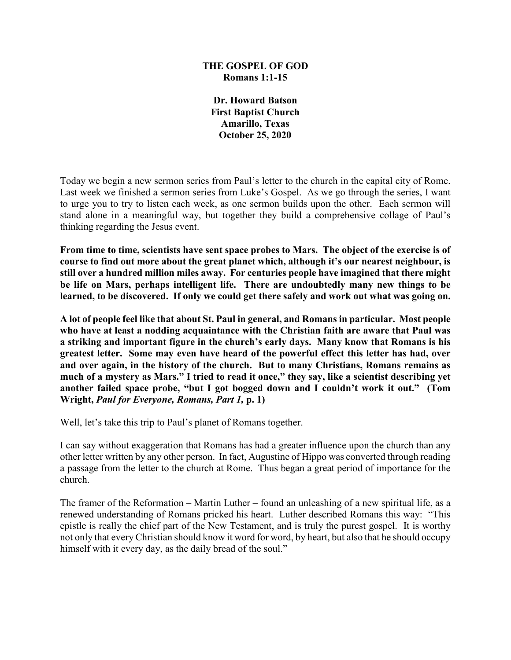## **THE GOSPEL OF GOD Romans 1:1-15**

**Dr. Howard Batson First Baptist Church Amarillo, Texas October 25, 2020**

Today we begin a new sermon series from Paul's letter to the church in the capital city of Rome. Last week we finished a sermon series from Luke's Gospel. As we go through the series, I want to urge you to try to listen each week, as one sermon builds upon the other. Each sermon will stand alone in a meaningful way, but together they build a comprehensive collage of Paul's thinking regarding the Jesus event.

**From time to time, scientists have sent space probes to Mars. The object of the exercise is of course to find out more about the great planet which, although it's our nearest neighbour, is still over a hundred million miles away. For centuries people have imagined that there might be life on Mars, perhaps intelligent life. There are undoubtedly many new things to be learned, to be discovered. If only we could get there safely and work out what was going on.**

**A lot of people feel like that about St. Paul in general, and Romans in particular. Most people who have at least a nodding acquaintance with the Christian faith are aware that Paul was a striking and important figure in the church's early days. Many know that Romans is his greatest letter. Some may even have heard of the powerful effect this letter has had, over and over again, in the history of the church. But to many Christians, Romans remains as much of a mystery as Mars." I tried to read it once," they say, like a scientist describing yet another failed space probe, "but I got bogged down and I couldn't work it out." (Tom Wright,** *Paul for Everyone, Romans, Part 1,* **p. 1)**

Well, let's take this trip to Paul's planet of Romans together.

I can say without exaggeration that Romans has had a greater influence upon the church than any other letter written by any other person. In fact, Augustine of Hippo was converted through reading a passage from the letter to the church at Rome. Thus began a great period of importance for the church.

The framer of the Reformation – Martin Luther – found an unleashing of a new spiritual life, as a renewed understanding of Romans pricked his heart. Luther described Romans this way: "This epistle is really the chief part of the New Testament, and is truly the purest gospel. It is worthy not only that every Christian should know it word for word, by heart, but also that he should occupy himself with it every day, as the daily bread of the soul."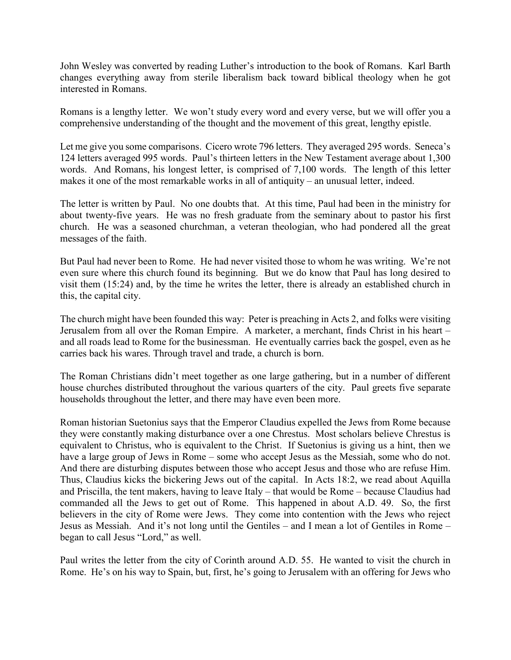John Wesley was converted by reading Luther's introduction to the book of Romans. Karl Barth changes everything away from sterile liberalism back toward biblical theology when he got interested in Romans.

Romans is a lengthy letter. We won't study every word and every verse, but we will offer you a comprehensive understanding of the thought and the movement of this great, lengthy epistle.

Let me give you some comparisons. Cicero wrote 796 letters. They averaged 295 words. Seneca's 124 letters averaged 995 words. Paul's thirteen letters in the New Testament average about 1,300 words. And Romans, his longest letter, is comprised of 7,100 words. The length of this letter makes it one of the most remarkable works in all of antiquity – an unusual letter, indeed.

The letter is written by Paul. No one doubts that. At this time, Paul had been in the ministry for about twenty-five years. He was no fresh graduate from the seminary about to pastor his first church. He was a seasoned churchman, a veteran theologian, who had pondered all the great messages of the faith.

But Paul had never been to Rome. He had never visited those to whom he was writing. We're not even sure where this church found its beginning. But we do know that Paul has long desired to visit them (15:24) and, by the time he writes the letter, there is already an established church in this, the capital city.

The church might have been founded this way: Peter is preaching in Acts 2, and folks were visiting Jerusalem from all over the Roman Empire. A marketer, a merchant, finds Christ in his heart – and all roads lead to Rome for the businessman. He eventually carries back the gospel, even as he carries back his wares. Through travel and trade, a church is born.

The Roman Christians didn't meet together as one large gathering, but in a number of different house churches distributed throughout the various quarters of the city. Paul greets five separate households throughout the letter, and there may have even been more.

Roman historian Suetonius says that the Emperor Claudius expelled the Jews from Rome because they were constantly making disturbance over a one Chrestus. Most scholars believe Chrestus is equivalent to Christus, who is equivalent to the Christ. If Suetonius is giving us a hint, then we have a large group of Jews in Rome – some who accept Jesus as the Messiah, some who do not. And there are disturbing disputes between those who accept Jesus and those who are refuse Him. Thus, Claudius kicks the bickering Jews out of the capital. In Acts 18:2, we read about Aquilla and Priscilla, the tent makers, having to leave Italy – that would be Rome – because Claudius had commanded all the Jews to get out of Rome. This happened in about A.D. 49. So, the first believers in the city of Rome were Jews. They come into contention with the Jews who reject Jesus as Messiah. And it's not long until the Gentiles – and I mean a lot of Gentiles in Rome – began to call Jesus "Lord," as well.

Paul writes the letter from the city of Corinth around A.D. 55. He wanted to visit the church in Rome. He's on his way to Spain, but, first, he's going to Jerusalem with an offering for Jews who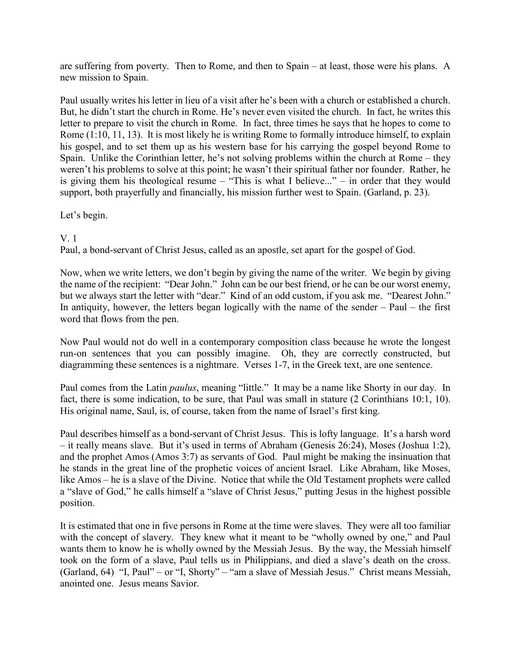are suffering from poverty. Then to Rome, and then to Spain – at least, those were his plans. A new mission to Spain.

Paul usually writes his letter in lieu of a visit after he's been with a church or established a church. But, he didn't start the church in Rome. He's never even visited the church. In fact, he writes this letter to prepare to visit the church in Rome. In fact, three times he says that he hopes to come to Rome (1:10, 11, 13). It is most likely he is writing Rome to formally introduce himself, to explain his gospel, and to set them up as his western base for his carrying the gospel beyond Rome to Spain. Unlike the Corinthian letter, he's not solving problems within the church at Rome – they weren't his problems to solve at this point; he wasn't their spiritual father nor founder. Rather, he is giving them his theological resume – "This is what I believe..." – in order that they would support, both prayerfully and financially, his mission further west to Spain. (Garland, p. 23).

## Let's begin.

## V. 1

Paul, a bond-servant of Christ Jesus, called as an apostle, set apart for the gospel of God.

Now, when we write letters, we don't begin by giving the name of the writer. We begin by giving the name of the recipient: "Dear John." John can be our best friend, or he can be our worst enemy, but we always start the letter with "dear." Kind of an odd custom, if you ask me. "Dearest John." In antiquity, however, the letters began logically with the name of the sender – Paul – the first word that flows from the pen.

Now Paul would not do well in a contemporary composition class because he wrote the longest run-on sentences that you can possibly imagine. Oh, they are correctly constructed, but diagramming these sentences is a nightmare. Verses 1-7, in the Greek text, are one sentence.

Paul comes from the Latin *paulus*, meaning "little." It may be a name like Shorty in our day. In fact, there is some indication, to be sure, that Paul was small in stature (2 Corinthians 10:1, 10). His original name, Saul, is, of course, taken from the name of Israel's first king.

Paul describes himself as a bond-servant of Christ Jesus. This is lofty language. It's a harsh word – it really means slave. But it's used in terms of Abraham (Genesis 26:24), Moses (Joshua 1:2), and the prophet Amos (Amos 3:7) as servants of God. Paul might be making the insinuation that he stands in the great line of the prophetic voices of ancient Israel. Like Abraham, like Moses, like Amos – he is a slave of the Divine. Notice that while the Old Testament prophets were called a "slave of God," he calls himself a "slave of Christ Jesus," putting Jesus in the highest possible position.

It is estimated that one in five persons in Rome at the time were slaves. They were all too familiar with the concept of slavery. They knew what it meant to be "wholly owned by one," and Paul wants them to know he is wholly owned by the Messiah Jesus. By the way, the Messiah himself took on the form of a slave, Paul tells us in Philippians, and died a slave's death on the cross. (Garland, 64) "I, Paul" – or "I, Shorty" – "am a slave of Messiah Jesus." Christ means Messiah, anointed one. Jesus means Savior.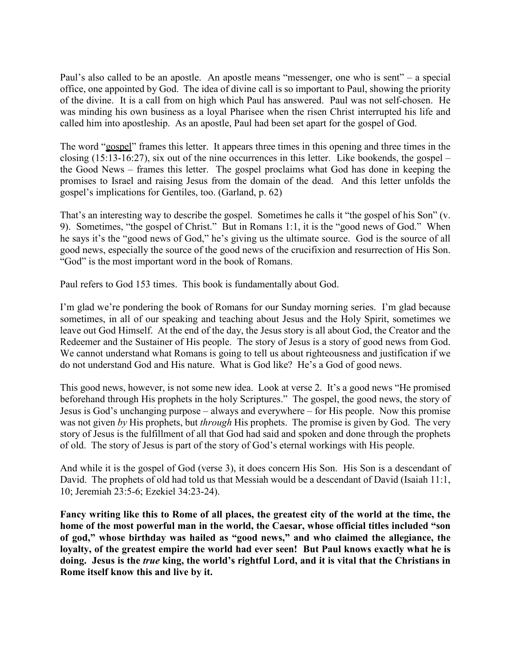Paul's also called to be an apostle. An apostle means "messenger, one who is sent" – a special office, one appointed by God. The idea of divine call is so important to Paul, showing the priority of the divine. It is a call from on high which Paul has answered. Paul was not self-chosen. He was minding his own business as a loyal Pharisee when the risen Christ interrupted his life and called him into apostleship. As an apostle, Paul had been set apart for the gospel of God.

The word "gospel" frames this letter. It appears three times in this opening and three times in the closing (15:13-16:27), six out of the nine occurrences in this letter. Like bookends, the gospel – the Good News – frames this letter. The gospel proclaims what God has done in keeping the promises to Israel and raising Jesus from the domain of the dead. And this letter unfolds the gospel's implications for Gentiles, too. (Garland, p. 62)

That's an interesting way to describe the gospel. Sometimes he calls it "the gospel of his Son" (v. 9). Sometimes, "the gospel of Christ." But in Romans 1:1, it is the "good news of God." When he says it's the "good news of God," he's giving us the ultimate source. God is the source of all good news, especially the source of the good news of the crucifixion and resurrection of His Son. "God" is the most important word in the book of Romans.

Paul refers to God 153 times. This book is fundamentally about God.

I'm glad we're pondering the book of Romans for our Sunday morning series. I'm glad because sometimes, in all of our speaking and teaching about Jesus and the Holy Spirit, sometimes we leave out God Himself. At the end of the day, the Jesus story is all about God, the Creator and the Redeemer and the Sustainer of His people. The story of Jesus is a story of good news from God. We cannot understand what Romans is going to tell us about righteousness and justification if we do not understand God and His nature. What is God like? He's a God of good news.

This good news, however, is not some new idea. Look at verse 2. It's a good news "He promised beforehand through His prophets in the holy Scriptures." The gospel, the good news, the story of Jesus is God's unchanging purpose – always and everywhere – for His people. Now this promise was not given *by* His prophets, but *through* His prophets. The promise is given by God. The very story of Jesus is the fulfillment of all that God had said and spoken and done through the prophets of old. The story of Jesus is part of the story of God's eternal workings with His people.

And while it is the gospel of God (verse 3), it does concern His Son. His Son is a descendant of David. The prophets of old had told us that Messiah would be a descendant of David (Isaiah 11:1, 10; Jeremiah 23:5-6; Ezekiel 34:23-24).

**Fancy writing like this to Rome of all places, the greatest city of the world at the time, the home of the most powerful man in the world, the Caesar, whose official titles included "son of god," whose birthday was hailed as "good news," and who claimed the allegiance, the loyalty, of the greatest empire the world had ever seen! But Paul knows exactly what he is doing. Jesus is the** *true* **king, the world's rightful Lord, and it is vital that the Christians in Rome itself know this and live by it.**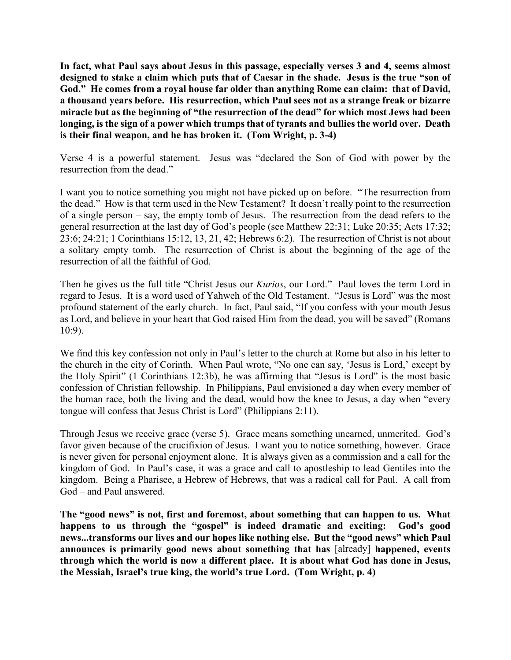**In fact, what Paul says about Jesus in this passage, especially verses 3 and 4, seems almost designed to stake a claim which puts that of Caesar in the shade. Jesus is the true "son of God." He comes from a royal house far older than anything Rome can claim: that of David, a thousand years before. His resurrection, which Paul sees not as a strange freak or bizarre miracle but as the beginning of "the resurrection of the dead" for which most Jews had been longing, is the sign of a power which trumps that of tyrants and bullies the world over. Death is their final weapon, and he has broken it. (Tom Wright, p. 3-4)**

Verse 4 is a powerful statement. Jesus was "declared the Son of God with power by the resurrection from the dead."

I want you to notice something you might not have picked up on before. "The resurrection from the dead." How is that term used in the New Testament? It doesn't really point to the resurrection of a single person – say, the empty tomb of Jesus. The resurrection from the dead refers to the general resurrection at the last day of God's people (see Matthew 22:31; Luke 20:35; Acts 17:32; 23:6; 24:21; 1 Corinthians 15:12, 13, 21, 42; Hebrews 6:2). The resurrection of Christ is not about a solitary empty tomb. The resurrection of Christ is about the beginning of the age of the resurrection of all the faithful of God.

Then he gives us the full title "Christ Jesus our *Kurios*, our Lord." Paul loves the term Lord in regard to Jesus. It is a word used of Yahweh of the Old Testament. "Jesus is Lord" was the most profound statement of the early church. In fact, Paul said, "If you confess with your mouth Jesus as Lord, and believe in your heart that God raised Him from the dead, you will be saved" (Romans 10:9).

We find this key confession not only in Paul's letter to the church at Rome but also in his letter to the church in the city of Corinth. When Paul wrote, "No one can say, 'Jesus is Lord,' except by the Holy Spirit" (1 Corinthians 12:3b), he was affirming that "Jesus is Lord" is the most basic confession of Christian fellowship. In Philippians, Paul envisioned a day when every member of the human race, both the living and the dead, would bow the knee to Jesus, a day when "every tongue will confess that Jesus Christ is Lord" (Philippians 2:11).

Through Jesus we receive grace (verse 5). Grace means something unearned, unmerited. God's favor given because of the crucifixion of Jesus. I want you to notice something, however. Grace is never given for personal enjoyment alone. It is always given as a commission and a call for the kingdom of God. In Paul's case, it was a grace and call to apostleship to lead Gentiles into the kingdom. Being a Pharisee, a Hebrew of Hebrews, that was a radical call for Paul. A call from God – and Paul answered.

**The "good news" is not, first and foremost, about something that can happen to us. What happens to us through the "gospel" is indeed dramatic and exciting: God's good news...transforms our lives and our hopes like nothing else. But the "good news" which Paul announces is primarily good news about something that has** [already] **happened, events through which the world is now a different place. It is about what God has done in Jesus, the Messiah, Israel's true king, the world's true Lord. (Tom Wright, p. 4)**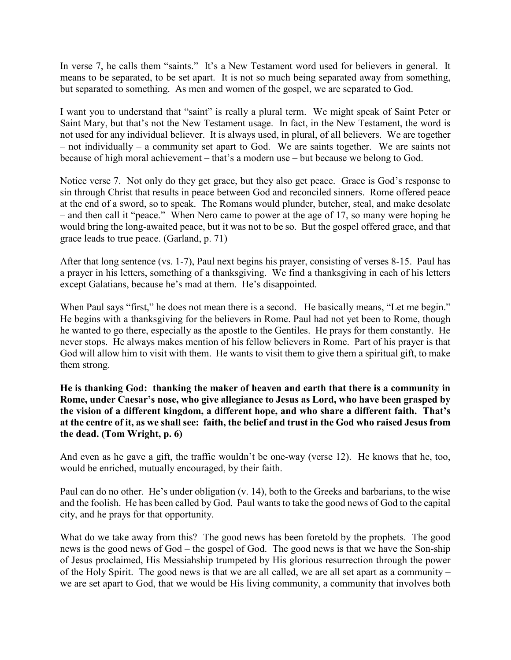In verse 7, he calls them "saints." It's a New Testament word used for believers in general. It means to be separated, to be set apart. It is not so much being separated away from something, but separated to something. As men and women of the gospel, we are separated to God.

I want you to understand that "saint" is really a plural term. We might speak of Saint Peter or Saint Mary, but that's not the New Testament usage. In fact, in the New Testament, the word is not used for any individual believer. It is always used, in plural, of all believers. We are together – not individually – a community set apart to God. We are saints together. We are saints not because of high moral achievement – that's a modern use – but because we belong to God.

Notice verse 7. Not only do they get grace, but they also get peace. Grace is God's response to sin through Christ that results in peace between God and reconciled sinners. Rome offered peace at the end of a sword, so to speak. The Romans would plunder, butcher, steal, and make desolate – and then call it "peace." When Nero came to power at the age of 17, so many were hoping he would bring the long-awaited peace, but it was not to be so. But the gospel offered grace, and that grace leads to true peace. (Garland, p. 71)

After that long sentence (vs. 1-7), Paul next begins his prayer, consisting of verses 8-15. Paul has a prayer in his letters, something of a thanksgiving. We find a thanksgiving in each of his letters except Galatians, because he's mad at them. He's disappointed.

When Paul says "first," he does not mean there is a second. He basically means, "Let me begin." He begins with a thanksgiving for the believers in Rome. Paul had not yet been to Rome, though he wanted to go there, especially as the apostle to the Gentiles. He prays for them constantly. He never stops. He always makes mention of his fellow believers in Rome. Part of his prayer is that God will allow him to visit with them. He wants to visit them to give them a spiritual gift, to make them strong.

**He is thanking God: thanking the maker of heaven and earth that there is a community in Rome, under Caesar's nose, who give allegiance to Jesus as Lord, who have been grasped by the vision of a different kingdom, a different hope, and who share a different faith. That's at the centre of it, as we shall see: faith, the belief and trust in the God who raised Jesus from the dead. (Tom Wright, p. 6)**

And even as he gave a gift, the traffic wouldn't be one-way (verse 12). He knows that he, too, would be enriched, mutually encouraged, by their faith.

Paul can do no other. He's under obligation (v. 14), both to the Greeks and barbarians, to the wise and the foolish. He has been called by God. Paul wants to take the good news of God to the capital city, and he prays for that opportunity.

What do we take away from this? The good news has been foretold by the prophets. The good news is the good news of God – the gospel of God. The good news is that we have the Son-ship of Jesus proclaimed, His Messiahship trumpeted by His glorious resurrection through the power of the Holy Spirit. The good news is that we are all called, we are all set apart as a community – we are set apart to God, that we would be His living community, a community that involves both